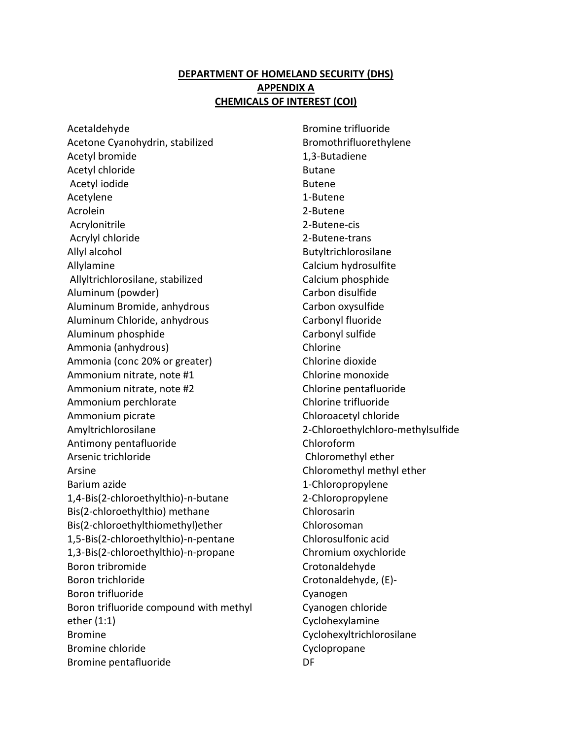## **DEPARTMENT OF HOMELAND SECURITY (DHS) APPENDIX A CHEMICALS OF INTEREST (COI)**

Acetaldehyde Acetone Cyanohydrin, stabilized Acetyl bromide Acetyl chloride Acetyl iodide Acetylene Acrolein Acrylonitrile Acrylyl chloride Allyl alcohol Allylamine Allyltrichlorosilane, stabilized Aluminum (powder) Aluminum Bromide, anhydrous Aluminum Chloride, anhydrous Aluminum phosphide Ammonia (anhydrous) Ammonia (conc 20% or greater) Ammonium nitrate, note #1 Ammonium nitrate, note #2 Ammonium perchlorate Ammonium picrate Amyltrichlorosilane Antimony pentafluoride Arsenic trichloride Arsine Barium azide 1,4-Bis(2-chloroethylthio)-n-butane Bis(2-chloroethylthio) methane Bis(2-chloroethylthiomethyl)ether 1,5-Bis(2-chloroethylthio)-n-pentane 1,3-Bis(2-chloroethylthio)-n-propane Boron tribromide Boron trichloride Boron trifluoride Boron trifluoride compound with methyl ether (1:1) Bromine Bromine chloride Bromine pentafluoride

Bromine trifluoride Bromothrifluorethylene 1,3-Butadiene Butane Butene 1-Butene 2-Butene 2-Butene-cis 2-Butene-trans Butyltrichlorosilane Calcium hydrosulfite Calcium phosphide Carbon disulfide Carbon oxysulfide Carbonyl fluoride Carbonyl sulfide Chlorine Chlorine dioxide Chlorine monoxide Chlorine pentafluoride Chlorine trifluoride Chloroacetyl chloride 2-Chloroethylchloro-methylsulfide Chloroform Chloromethyl ether Chloromethyl methyl ether 1-Chloropropylene 2-Chloropropylene Chlorosarin Chlorosoman Chlorosulfonic acid Chromium oxychloride Crotonaldehyde Crotonaldehyde, (E)- Cyanogen Cyanogen chloride Cyclohexylamine Cyclohexyltrichlorosilane Cyclopropane DF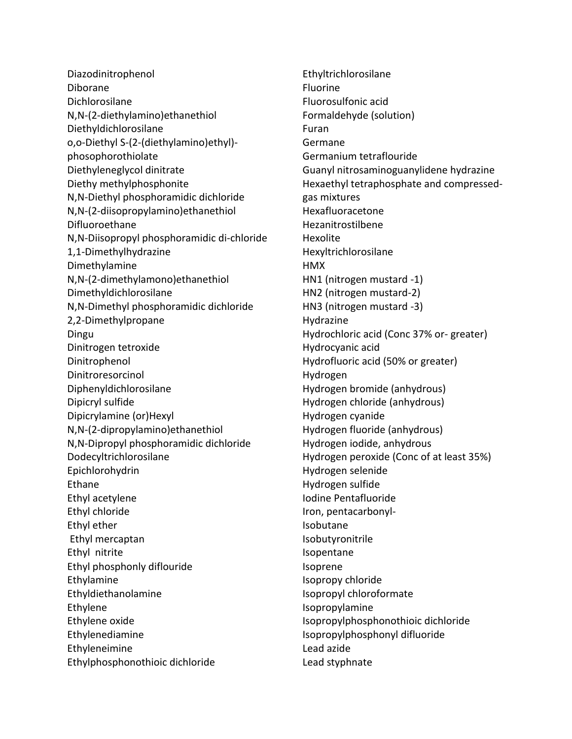Diazodinitrophenol Diborane Dichlorosilane N,N-(2-diethylamino)ethanethiol Diethyldichlorosilane o,o-Diethyl S-(2-(diethylamino)ethyl) phosophorothiolate Diethyleneglycol dinitrate Diethy methylphosphonite N,N-Diethyl phosphoramidic dichloride N,N-(2-diisopropylamino)ethanethiol Difluoroethane N,N-Diisopropyl phosphoramidic di-chloride 1,1-Dimethylhydrazine Dimethylamine N,N-(2-dimethylamono)ethanethiol Dimethyldichlorosilane N,N-Dimethyl phosphoramidic dichloride 2,2-Dimethylpropane Dingu Dinitrogen tetroxide Dinitrophenol Dinitroresorcinol Diphenyldichlorosilane Dipicryl sulfide Dipicrylamine (or)Hexyl N,N-(2-dipropylamino)ethanethiol N,N-Dipropyl phosphoramidic dichloride Dodecyltrichlorosilane Epichlorohydrin Ethane Ethyl acetylene Ethyl chloride Ethyl ether Ethyl mercaptan Ethyl nitrite Ethyl phosphonly diflouride Ethylamine Ethyldiethanolamine Ethylene Ethylene oxide Ethylenediamine Ethyleneimine Ethylphosphonothioic dichloride

Ethyltrichlorosilane Fluorine Fluorosulfonic acid Formaldehyde (solution) Furan Germane Germanium tetraflouride Guanyl nitrosaminoguanylidene hydrazine Hexaethyl tetraphosphate and compressedgas mixtures Hexafluoracetone Hezanitrostilbene Hexolite Hexyltrichlorosilane HMX HN1 (nitrogen mustard -1) HN2 (nitrogen mustard-2) HN3 (nitrogen mustard -3) Hydrazine Hydrochloric acid (Conc 37% or- greater) Hydrocyanic acid Hydrofluoric acid (50% or greater) Hydrogen Hydrogen bromide (anhydrous) Hydrogen chloride (anhydrous) Hydrogen cyanide Hydrogen fluoride (anhydrous) Hydrogen iodide, anhydrous Hydrogen peroxide (Conc of at least 35%) Hydrogen selenide Hydrogen sulfide Iodine Pentafluoride Iron, pentacarbonyl-Isobutane Isobutyronitrile Isopentane Isoprene Isopropy chloride Isopropyl chloroformate Isopropylamine Isopropylphosphonothioic dichloride Isopropylphosphonyl difluoride Lead azide Lead styphnate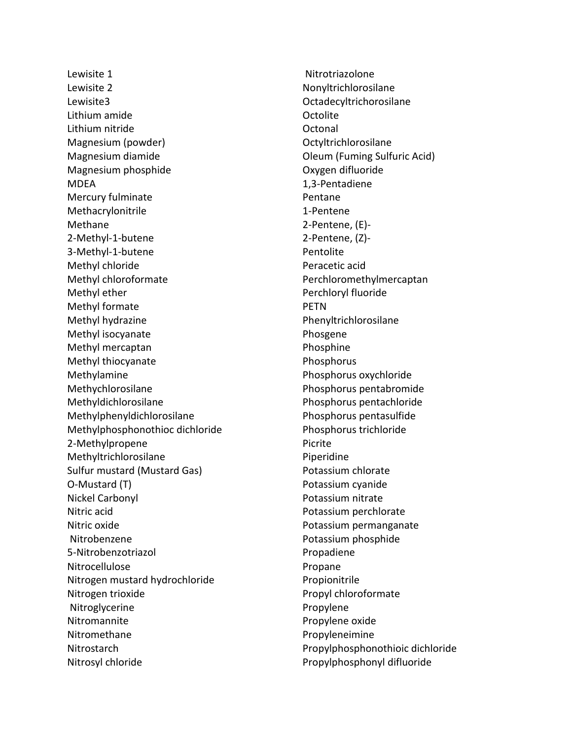Lewisite 1 Lewisite 2 Lewisite3 Lithium amide Lithium nitride Magnesium (powder) Magnesium diamide Magnesium phosphide MDEA Mercury fulminate Methacrylonitrile Methane 2-Methyl-1-butene 3-Methyl-1-butene Methyl chloride Methyl chloroformate Methyl ether Methyl formate Methyl hydrazine Methyl isocyanate Methyl mercaptan Methyl thiocyanate Methylamine Methychlorosilane Methyldichlorosilane Methylphenyldichlorosilane Methylphosphonothioc dichloride 2-Methylpropene Methyltrichlorosilane Sulfur mustard (Mustard Gas) O-Mustard (T) Nickel Carbonyl Nitric acid Nitric oxide Nitrobenzene 5-Nitrobenzotriazol Nitrocellulose Nitrogen mustard hydrochloride Nitrogen trioxide Nitroglycerine Nitromannite Nitromethane **Nitrostarch** Nitrosyl chloride

Nitrotriazolone Nonyltrichlorosilane Octadecyltrichorosilane **Octolite Octonal** Octyltrichlorosilane Oleum (Fuming Sulfuric Acid) Oxygen difluoride 1,3-Pentadiene Pentane 1-Pentene 2-Pentene, (E)- 2-Pentene, (Z)- Pentolite Peracetic acid Perchloromethylmercaptan Perchloryl fluoride **PETN** Phenyltrichlorosilane Phosgene Phosphine Phosphorus Phosphorus oxychloride Phosphorus pentabromide Phosphorus pentachloride Phosphorus pentasulfide Phosphorus trichloride Picrite Piperidine Potassium chlorate Potassium cyanide Potassium nitrate Potassium perchlorate Potassium permanganate Potassium phosphide Propadiene Propane Propionitrile Propyl chloroformate Propylene Propylene oxide Propyleneimine Propylphosphonothioic dichloride Propylphosphonyl difluoride